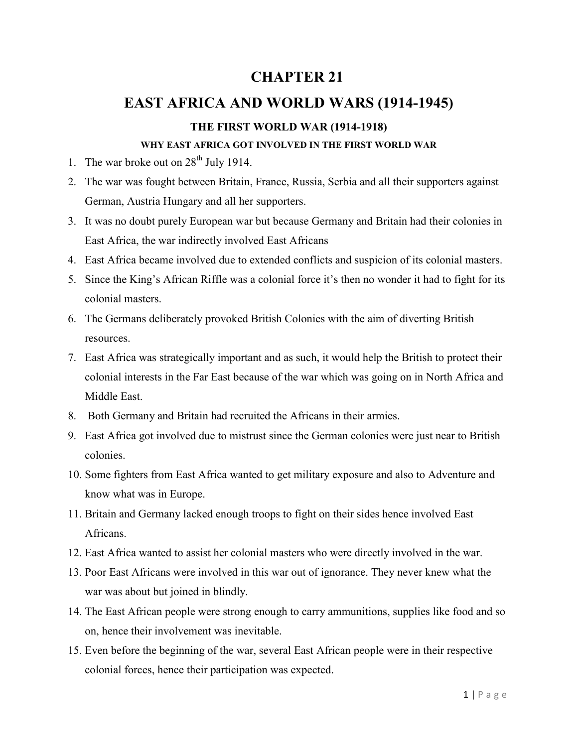## **CHAPTER 21**

## **EAST AFRICA AND WORLD WARS (1914-1945)**

## **THE FIRST WORLD WAR (1914-1918)**

#### **WHY EAST AFRICA GOT INVOLVED IN THE FIRST WORLD WAR**

- 1. The war broke out on  $28<sup>th</sup>$  July 1914.
- 2. The war was fought between Britain, France, Russia, Serbia and all their supporters against German, Austria Hungary and all her supporters.
- 3. It was no doubt purely European war but because Germany and Britain had their colonies in East Africa, the war indirectly involved East Africans
- 4. East Africa became involved due to extended conflicts and suspicion of its colonial masters.
- 5. Since the King's African Riffle was a colonial force it's then no wonder it had to fight for its colonial masters.
- 6. The Germans deliberately provoked British Colonies with the aim of diverting British resources.
- 7. East Africa was strategically important and as such, it would help the British to protect their colonial interests in the Far East because of the war which was going on in North Africa and Middle East.
- 8. Both Germany and Britain had recruited the Africans in their armies.
- 9. East Africa got involved due to mistrust since the German colonies were just near to British colonies.
- 10. Some fighters from East Africa wanted to get military exposure and also to Adventure and know what was in Europe.
- 11. Britain and Germany lacked enough troops to fight on their sides hence involved East Africans.
- 12. East Africa wanted to assist her colonial masters who were directly involved in the war.
- 13. Poor East Africans were involved in this war out of ignorance. They never knew what the war was about but joined in blindly.
- 14. The East African people were strong enough to carry ammunitions, supplies like food and so on, hence their involvement was inevitable.
- 15. Even before the beginning of the war, several East African people were in their respective colonial forces, hence their participation was expected.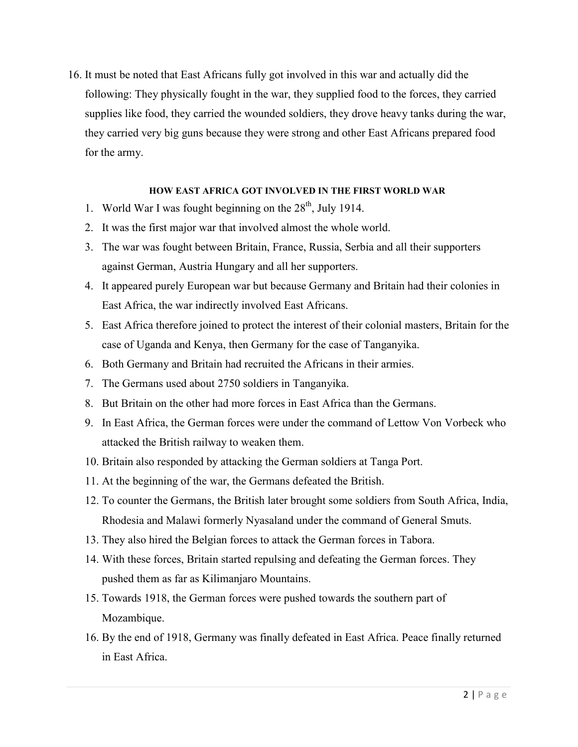16. It must be noted that East Africans fully got involved in this war and actually did the following: They physically fought in the war, they supplied food to the forces, they carried supplies like food, they carried the wounded soldiers, they drove heavy tanks during the war, they carried very big guns because they were strong and other East Africans prepared food for the army.

#### **HOW EAST AFRICA GOT INVOLVED IN THE FIRST WORLD WAR**

- 1. World War I was fought beginning on the  $28<sup>th</sup>$ , July 1914.
- 2. It was the first major war that involved almost the whole world.
- 3. The war was fought between Britain, France, Russia, Serbia and all their supporters against German, Austria Hungary and all her supporters.
- 4. It appeared purely European war but because Germany and Britain had their colonies in East Africa, the war indirectly involved East Africans.
- 5. East Africa therefore joined to protect the interest of their colonial masters, Britain for the case of Uganda and Kenya, then Germany for the case of Tanganyika.
- 6. Both Germany and Britain had recruited the Africans in their armies.
- 7. The Germans used about 2750 soldiers in Tanganyika.
- 8. But Britain on the other had more forces in East Africa than the Germans.
- 9. In East Africa, the German forces were under the command of Lettow Von Vorbeck who attacked the British railway to weaken them.
- 10. Britain also responded by attacking the German soldiers at Tanga Port.
- 11. At the beginning of the war, the Germans defeated the British.
- 12. To counter the Germans, the British later brought some soldiers from South Africa, India, Rhodesia and Malawi formerly Nyasaland under the command of General Smuts.
- 13. They also hired the Belgian forces to attack the German forces in Tabora.
- 14. With these forces, Britain started repulsing and defeating the German forces. They pushed them as far as Kilimanjaro Mountains.
- 15. Towards 1918, the German forces were pushed towards the southern part of Mozambique.
- 16. By the end of 1918, Germany was finally defeated in East Africa. Peace finally returned in East Africa.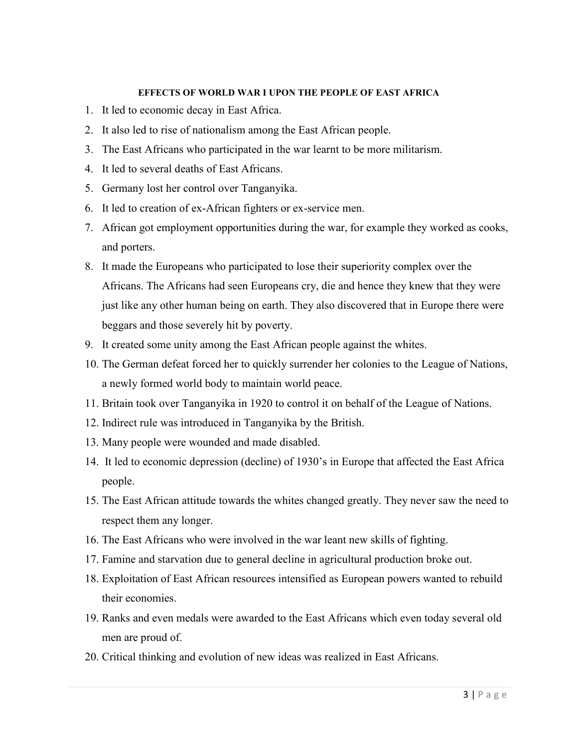#### **EFFECTS OF WORLD WAR I UPON THE PEOPLE OF EAST AFRICA**

- 1. It led to economic decay in East Africa.
- 2. It also led to rise of nationalism among the East African people.
- 3. The East Africans who participated in the war learnt to be more militarism.
- 4. It led to several deaths of East Africans.
- 5. Germany lost her control over Tanganyika.
- 6. It led to creation of ex-African fighters or ex-service men.
- 7. African got employment opportunities during the war, for example they worked as cooks, and porters.
- 8. It made the Europeans who participated to lose their superiority complex over the Africans. The Africans had seen Europeans cry, die and hence they knew that they were just like any other human being on earth. They also discovered that in Europe there were beggars and those severely hit by poverty.
- 9. It created some unity among the East African people against the whites.
- 10. The German defeat forced her to quickly surrender her colonies to the League of Nations, a newly formed world body to maintain world peace.
- 11. Britain took over Tanganyika in 1920 to control it on behalf of the League of Nations.
- 12. Indirect rule was introduced in Tanganyika by the British.
- 13. Many people were wounded and made disabled.
- 14. It led to economic depression (decline) of 1930's in Europe that affected the East Africa people.
- 15. The East African attitude towards the whites changed greatly. They never saw the need to respect them any longer.
- 16. The East Africans who were involved in the war leant new skills of fighting.
- 17. Famine and starvation due to general decline in agricultural production broke out.
- 18. Exploitation of East African resources intensified as European powers wanted to rebuild their economies.
- 19. Ranks and even medals were awarded to the East Africans which even today several old men are proud of.
- 20. Critical thinking and evolution of new ideas was realized in East Africans.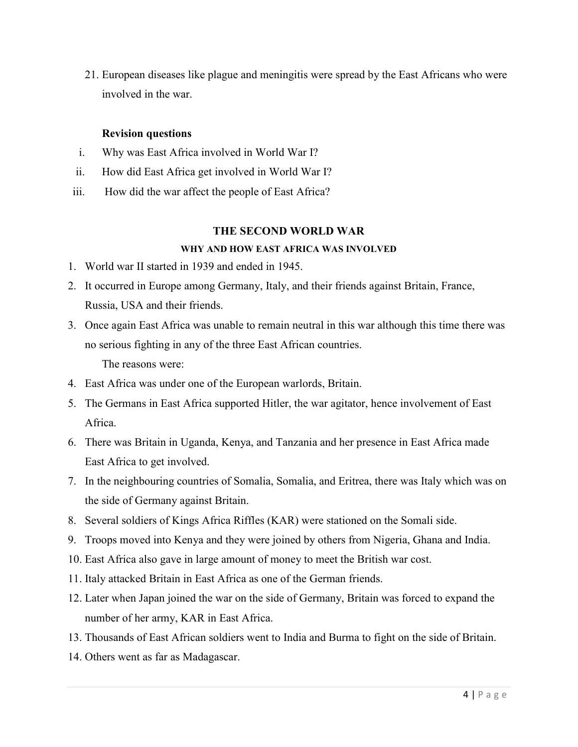21. European diseases like plague and meningitis were spread by the East Africans who were involved in the war.

#### **Revision questions**

- i. Why was East Africa involved in World War I?
- ii. How did East Africa get involved in World War I?
- iii. How did the war affect the people of East Africa?

#### **THE SECOND WORLD WAR**

#### **WHY AND HOW EAST AFRICA WAS INVOLVED**

- 1. World war II started in 1939 and ended in 1945.
- 2. It occurred in Europe among Germany, Italy, and their friends against Britain, France, Russia, USA and their friends.
- 3. Once again East Africa was unable to remain neutral in this war although this time there was no serious fighting in any of the three East African countries. The reasons were:
- 4. East Africa was under one of the European warlords, Britain.
- 5. The Germans in East Africa supported Hitler, the war agitator, hence involvement of East Africa.
- 6. There was Britain in Uganda, Kenya, and Tanzania and her presence in East Africa made East Africa to get involved.
- 7. In the neighbouring countries of Somalia, Somalia, and Eritrea, there was Italy which was on the side of Germany against Britain.
- 8. Several soldiers of Kings Africa Riffles (KAR) were stationed on the Somali side.
- 9. Troops moved into Kenya and they were joined by others from Nigeria, Ghana and India.
- 10. East Africa also gave in large amount of money to meet the British war cost.
- 11. Italy attacked Britain in East Africa as one of the German friends.
- 12. Later when Japan joined the war on the side of Germany, Britain was forced to expand the number of her army, KAR in East Africa.
- 13. Thousands of East African soldiers went to India and Burma to fight on the side of Britain.
- 14. Others went as far as Madagascar.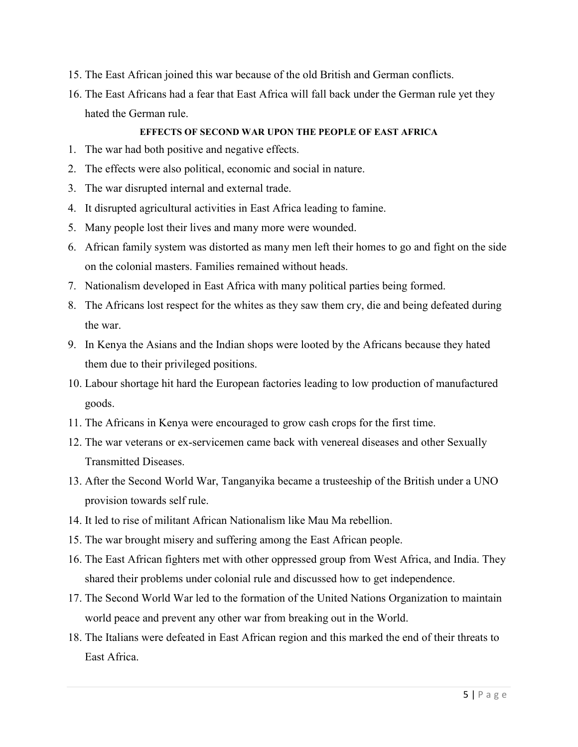- 15. The East African joined this war because of the old British and German conflicts.
- 16. The East Africans had a fear that East Africa will fall back under the German rule yet they hated the German rule.

#### **EFFECTS OF SECOND WAR UPON THE PEOPLE OF EAST AFRICA**

- 1. The war had both positive and negative effects.
- 2. The effects were also political, economic and social in nature.
- 3. The war disrupted internal and external trade.
- 4. It disrupted agricultural activities in East Africa leading to famine.
- 5. Many people lost their lives and many more were wounded.
- 6. African family system was distorted as many men left their homes to go and fight on the side on the colonial masters. Families remained without heads.
- 7. Nationalism developed in East Africa with many political parties being formed.
- 8. The Africans lost respect for the whites as they saw them cry, die and being defeated during the war.
- 9. In Kenya the Asians and the Indian shops were looted by the Africans because they hated them due to their privileged positions.
- 10. Labour shortage hit hard the European factories leading to low production of manufactured goods.
- 11. The Africans in Kenya were encouraged to grow cash crops for the first time.
- 12. The war veterans or ex-servicemen came back with venereal diseases and other Sexually Transmitted Diseases.
- 13. After the Second World War, Tanganyika became a trusteeship of the British under a UNO provision towards self rule.
- 14. It led to rise of militant African Nationalism like Mau Ma rebellion.
- 15. The war brought misery and suffering among the East African people.
- 16. The East African fighters met with other oppressed group from West Africa, and India. They shared their problems under colonial rule and discussed how to get independence.
- 17. The Second World War led to the formation of the United Nations Organization to maintain world peace and prevent any other war from breaking out in the World.
- 18. The Italians were defeated in East African region and this marked the end of their threats to East Africa.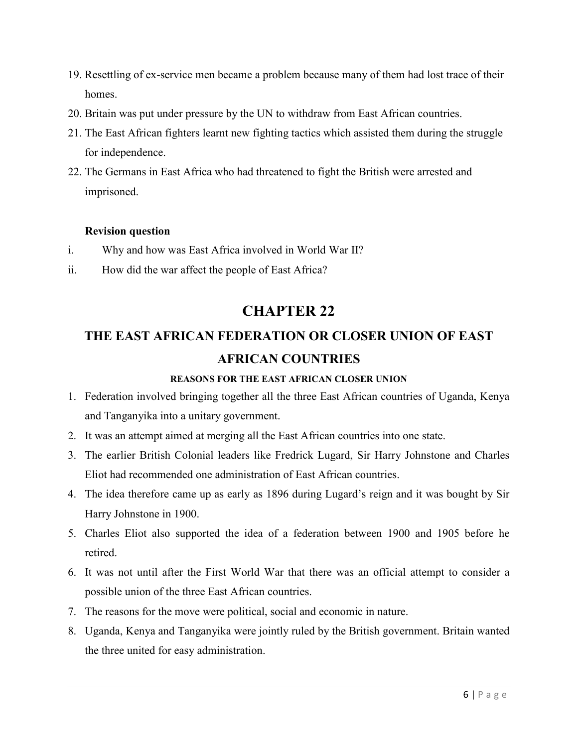- 19. Resettling of ex-service men became a problem because many of them had lost trace of their homes.
- 20. Britain was put under pressure by the UN to withdraw from East African countries.
- 21. The East African fighters learnt new fighting tactics which assisted them during the struggle for independence.
- 22. The Germans in East Africa who had threatened to fight the British were arrested and imprisoned.

### **Revision question**

- i. Why and how was East Africa involved in World War II?
- ii. How did the war affect the people of East Africa?

## **CHAPTER 22**

# **THE EAST AFRICAN FEDERATION OR CLOSER UNION OF EAST AFRICAN COUNTRIES**

### **REASONS FOR THE EAST AFRICAN CLOSER UNION**

- 1. Federation involved bringing together all the three East African countries of Uganda, Kenya and Tanganyika into a unitary government.
- 2. It was an attempt aimed at merging all the East African countries into one state.
- 3. The earlier British Colonial leaders like Fredrick Lugard, Sir Harry Johnstone and Charles Eliot had recommended one administration of East African countries.
- 4. The idea therefore came up as early as 1896 during Lugard's reign and it was bought by Sir Harry Johnstone in 1900.
- 5. Charles Eliot also supported the idea of a federation between 1900 and 1905 before he retired.
- 6. It was not until after the First World War that there was an official attempt to consider a possible union of the three East African countries.
- 7. The reasons for the move were political, social and economic in nature.
- 8. Uganda, Kenya and Tanganyika were jointly ruled by the British government. Britain wanted the three united for easy administration.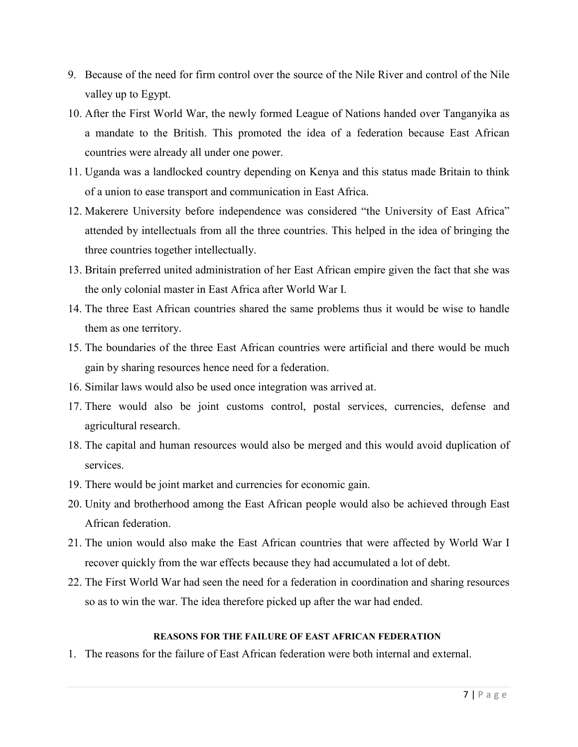- 9. Because of the need for firm control over the source of the Nile River and control of the Nile valley up to Egypt.
- 10. After the First World War, the newly formed League of Nations handed over Tanganyika as a mandate to the British. This promoted the idea of a federation because East African countries were already all under one power.
- 11. Uganda was a landlocked country depending on Kenya and this status made Britain to think of a union to ease transport and communication in East Africa.
- 12. Makerere University before independence was considered "the University of East Africa" attended by intellectuals from all the three countries. This helped in the idea of bringing the three countries together intellectually.
- 13. Britain preferred united administration of her East African empire given the fact that she was the only colonial master in East Africa after World War I.
- 14. The three East African countries shared the same problems thus it would be wise to handle them as one territory.
- 15. The boundaries of the three East African countries were artificial and there would be much gain by sharing resources hence need for a federation.
- 16. Similar laws would also be used once integration was arrived at.
- 17. There would also be joint customs control, postal services, currencies, defense and agricultural research.
- 18. The capital and human resources would also be merged and this would avoid duplication of services.
- 19. There would be joint market and currencies for economic gain.
- 20. Unity and brotherhood among the East African people would also be achieved through East African federation.
- 21. The union would also make the East African countries that were affected by World War I recover quickly from the war effects because they had accumulated a lot of debt.
- 22. The First World War had seen the need for a federation in coordination and sharing resources so as to win the war. The idea therefore picked up after the war had ended.

#### **REASONS FOR THE FAILURE OF EAST AFRICAN FEDERATION**

1. The reasons for the failure of East African federation were both internal and external.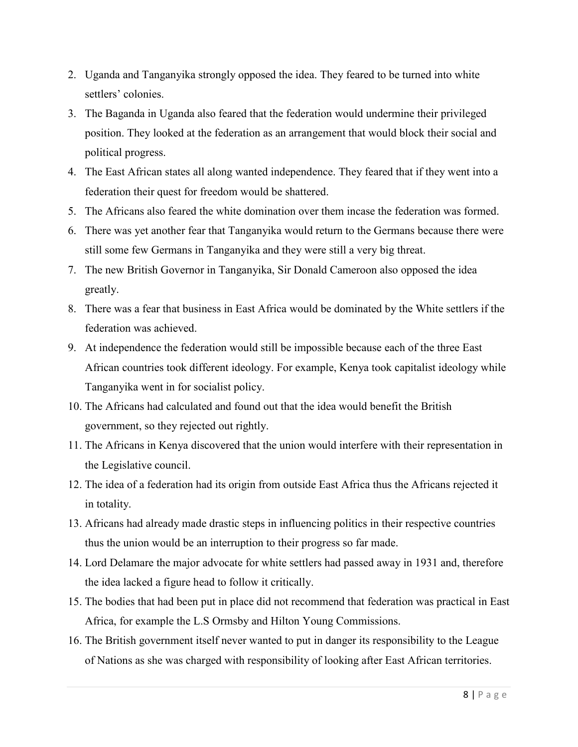- 2. Uganda and Tanganyika strongly opposed the idea. They feared to be turned into white settlers' colonies.
- 3. The Baganda in Uganda also feared that the federation would undermine their privileged position. They looked at the federation as an arrangement that would block their social and political progress.
- 4. The East African states all along wanted independence. They feared that if they went into a federation their quest for freedom would be shattered.
- 5. The Africans also feared the white domination over them incase the federation was formed.
- 6. There was yet another fear that Tanganyika would return to the Germans because there were still some few Germans in Tanganyika and they were still a very big threat.
- 7. The new British Governor in Tanganyika, Sir Donald Cameroon also opposed the idea greatly.
- 8. There was a fear that business in East Africa would be dominated by the White settlers if the federation was achieved.
- 9. At independence the federation would still be impossible because each of the three East African countries took different ideology. For example, Kenya took capitalist ideology while Tanganyika went in for socialist policy.
- 10. The Africans had calculated and found out that the idea would benefit the British government, so they rejected out rightly.
- 11. The Africans in Kenya discovered that the union would interfere with their representation in the Legislative council.
- 12. The idea of a federation had its origin from outside East Africa thus the Africans rejected it in totality.
- 13. Africans had already made drastic steps in influencing politics in their respective countries thus the union would be an interruption to their progress so far made.
- 14. Lord Delamare the major advocate for white settlers had passed away in 1931 and, therefore the idea lacked a figure head to follow it critically.
- 15. The bodies that had been put in place did not recommend that federation was practical in East Africa, for example the L.S Ormsby and Hilton Young Commissions.
- 16. The British government itself never wanted to put in danger its responsibility to the League of Nations as she was charged with responsibility of looking after East African territories.